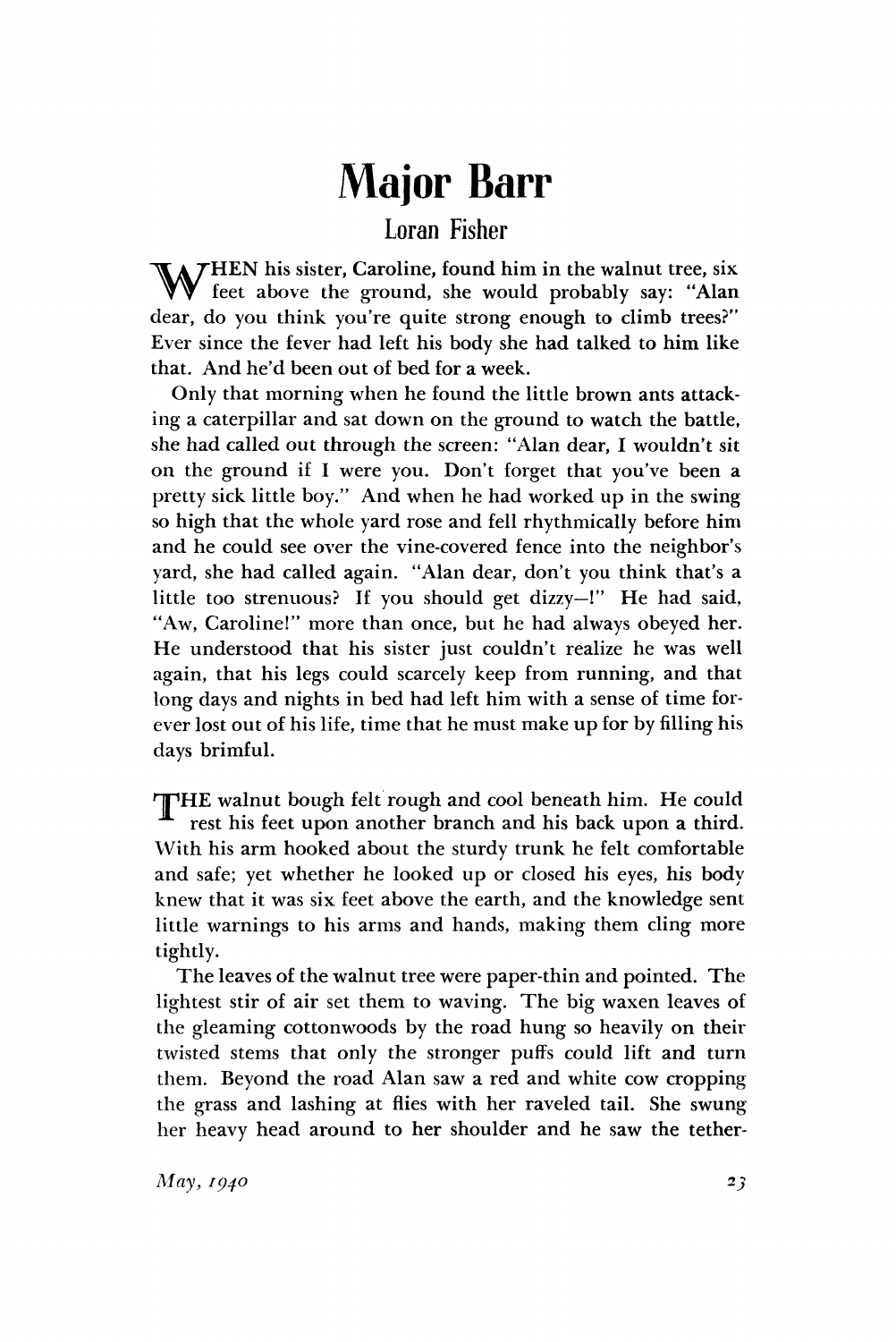## **Major Barr**

## Loran Fisher

HEN his sister, Caroline, found him in the walnut tree, six feet above the ground, she would probably say: "Alan dear, do you think you're quite strong enough to climb trees?" Ever since the fever had left his body she had talked to him like that. And he'd been out of bed for a week.  $\mathbf{W}_{\text{f6}}^{\text{H}}$ 

Only that morning when he found the little brown ants attacking a caterpillar and sat down on the ground to watch the battle, she had called out through the screen: "Alan dear, I wouldn't sit on the ground if I were you. Don't forget that you've been a pretty sick little boy." And when he had worked up in the swing so high that the whole yard rose and fell rhythmically before him and he could see over the vine-covered fence into the neighbor's yard, she had called again. "Alan dear, don't you think that's a little too strenuous? If you should get dizzy—!" He had said, "Aw, Caroline!" more than once, but he had always obeyed her. He understood that his sister just couldn't realize he was well again, that his legs could scarcely keep from running, and that long days and nights in bed had left him with a sense of time forever lost out of his life, time that he must make up for by filling his days brimful.

THE walnut bough felt rough and cool beneath him. He could rest his feet upon another branch and his back upon a third. With his arm hooked about the sturdy trunk he felt comfortable and safe; yet whether he looked up or closed his eyes, his body knew that it was six feet above the earth, and the knowledge sent little warnings to his arms and hands, making them cling more tightly.

The leaves of the walnut tree were paper-thin and pointed. The lightest stir of air set them to waving. The big waxen leaves of the gleaming cottonwoods by the road hung so heavily on their twisted stems that only the stronger puffs could lift and turn them. Beyond the road Alan saw a red and white cow cropping the grass and lashing at flies with her raveled tail. She swung her heavy head around to her shoulder and he saw the tether-

*May, 1940* **23**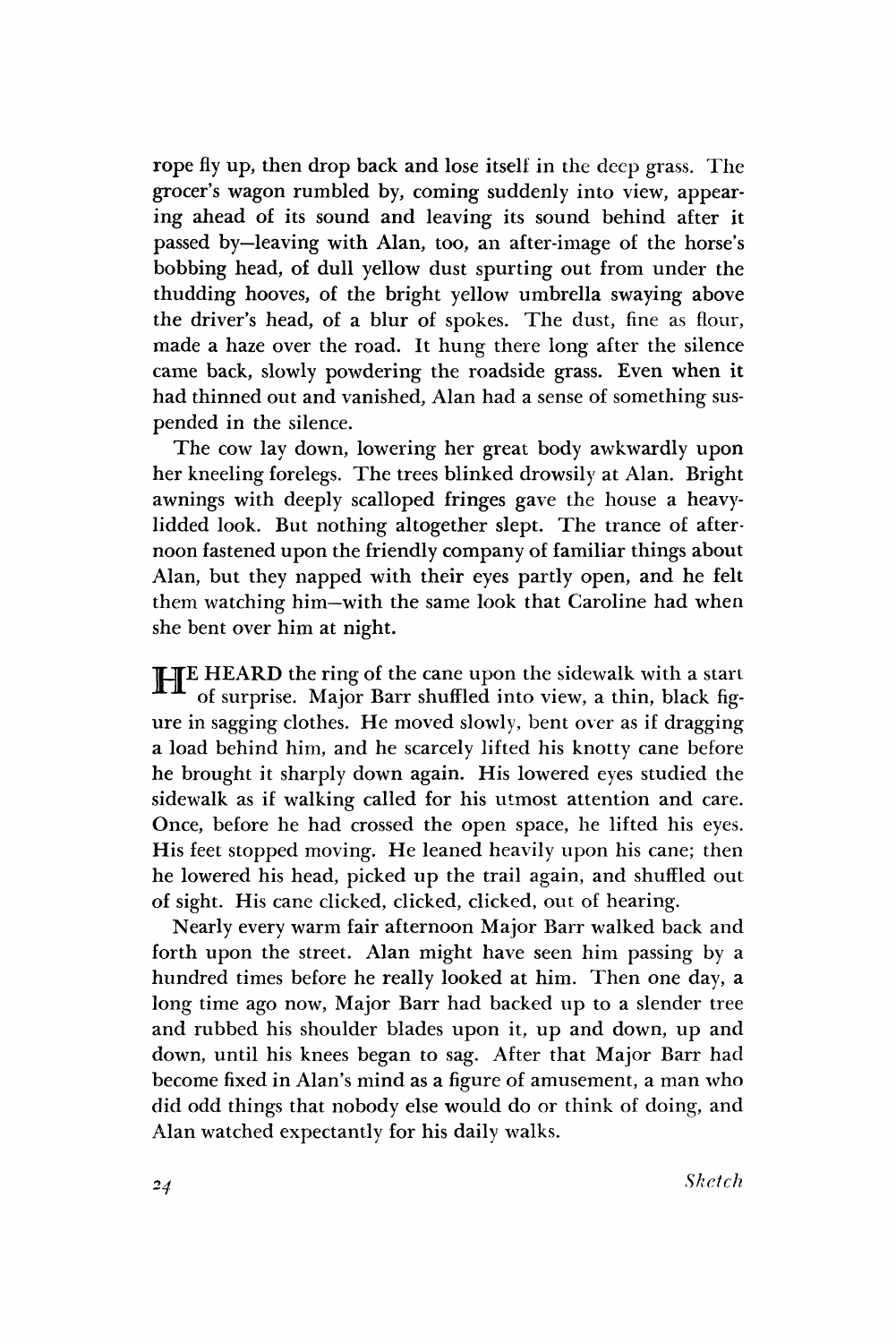rope fly up, then drop back and lose itself in the deep grass. The grocer's wagon rumbled by, coming suddenly into view, appearing ahead of its sound and leaving its sound behind after it passed by—leaving with Alan, too, an after-image of the horse's bobbing head, of dull yellow dust spurting out from under the thudding hooves, of the bright yellow umbrella swaying above the driver's head, of a blur of spokes. The dust, fine as flour, made a haze over the road. It hung there long after the silence came back, slowly powdering the roadside grass. Even when it had thinned out and vanished, Alan had a sense of something suspended in the silence.

The cow lay down, lowering her great body awkwardly upon her kneeling forelegs. The trees blinked drowsily at Alan. Bright awnings with deeply scalloped fringes gave the house a heavylidded look. But nothing altogether slept. The trance of afternoon fastened upon the friendly company of familiar things about Alan, but they napped with their eyes partly open, and he felt them watching him—with the same look that Caroline had when she bent over him at night.

**HEARD** the ring of the cane upon the sidewalk with a start of surprise. Major Barr shuffled into view, a thin, black figof surprise. Major Barr shuffled into view, a thin, black figure in sagging clothes. He moved slowly, bent over as if dragging a load behind him, and he scarcely lifted his knotty cane before he brought it sharply down again. His lowered eyes studied the sidewalk as if walking called for his utmost attention and care. Once, before he had crossed the open space, he lifted his eyes. His feet stopped moving. He leaned heavily upon his cane; then he lowered his head, picked up the trail again, and shuffled out of sight. His cane clicked, clicked, clicked, out of hearing.

Nearly every warm fair afternoon Major Barr walked back and forth upon the street. Alan might have seen him passing by a hundred times before he really looked at him. Then one day, a long time ago now, Major Barr had backed up to a slender tree and rubbed his shoulder blades upon it, up and down, up and down, until his knees began to sag. After that Major Barr had become fixed in Alan's mind as a figure of amusement, a man who did odd things that nobody else would do or think of doing, and Alan watched expectantly for his daily walks.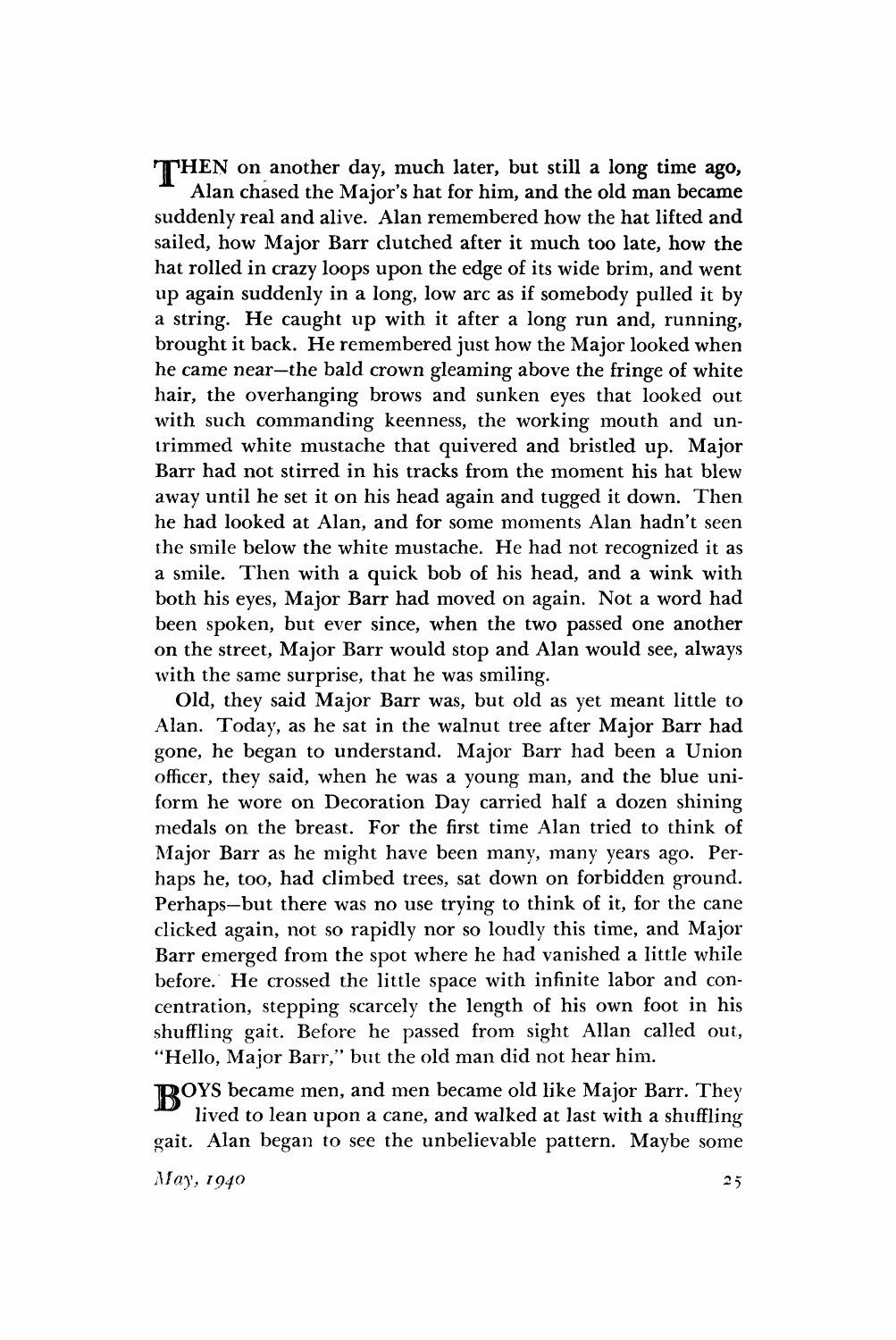THEN on another day, much later, but still a long time ago, Alan chased the Major's hat for him, and the old man became suddenly real and alive. Alan remembered how the hat lifted and sailed, how Major Barr clutched after it much too late, how the hat rolled in crazy loops upon the edge of its wide brim, and went up again suddenly in a long, low arc as if somebody pulled it by a string. He caught up with it after a long run and, running, brought it back. He remembered just how the Major looked when he came near—the bald crown gleaming above the fringe of white hair, the overhanging brows and sunken eyes that looked out with such commanding keenness, the working mouth and untrimmed white mustache that quivered and bristled up. Major Barr had not stirred in his tracks from the moment his hat blew away until he set it on his head again and tugged it down. Then he had looked at Alan, and for some moments Alan hadn't seen the smile below the white mustache. He had not recognized it as a smile. Then with a quick bob of his head, and a wink with both his eyes, Major Barr had moved on again. Not a word had been spoken, but ever since, when the two passed one another on the street, Major Barr would stop and Alan would see, always with the same surprise, that he was smiling.

Old, they said Major Barr was, but old as yet meant little to Alan. Today, as he sat in the walnut tree after Major Barr had gone, he began to understand. Major Barr had been a Union officer, they said, when he was a young man, and the blue uniform he wore on Decoration Day carried half a dozen shining medals on the breast. For the first time Alan tried to think of Major Barr as he might have been many, many years ago. Perhaps he, too, had climbed trees, sat down on forbidden ground. Perhaps—but there was no use trying to think of it, for the cane clicked again, not so rapidly nor so loudly this time, and Major Barr emerged from the spot where he had vanished a little while before. He crossed the little space with infinite labor and concentration, stepping scarcely the length of his own foot in his shuffling gait. Before he passed from sight Allan called out, "Hello, Major Barr," but the old man did not hear him.

ROYS became men, and men became old like Major Barr. They lived to lean upon a cane, and walked at last with a shuffling gait. Alan began to see the unbelievable pattern. Maybe some

*May, 1940*